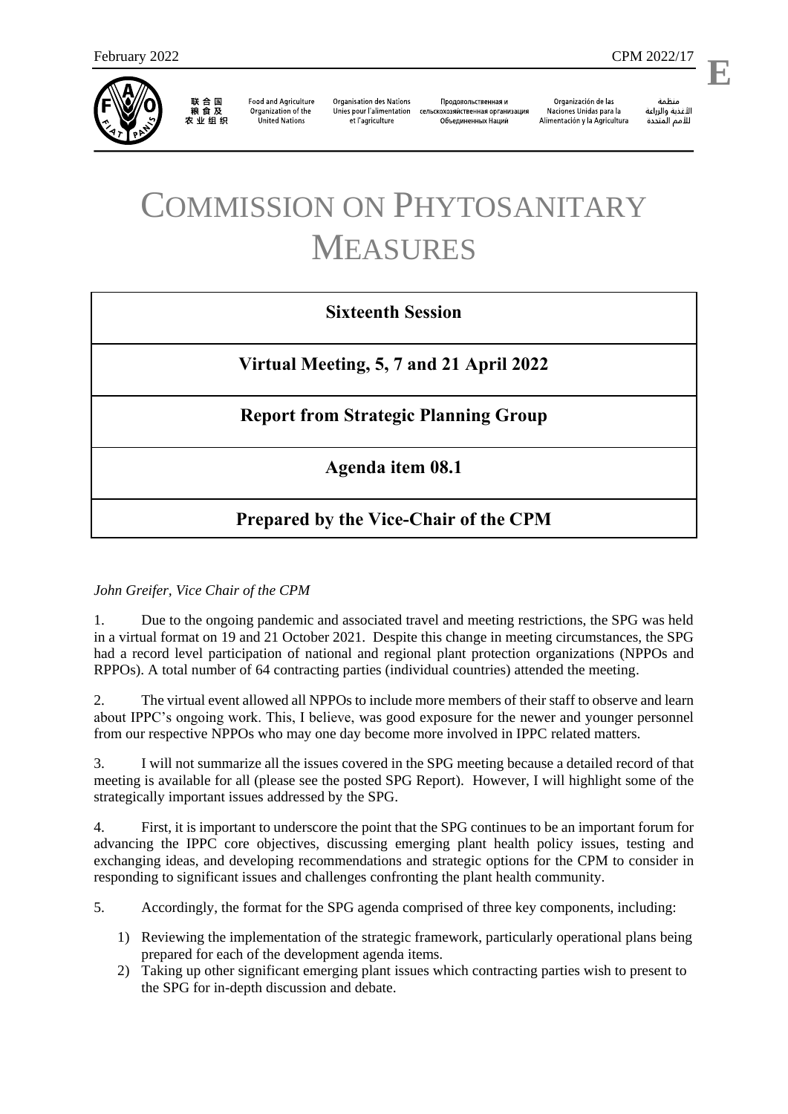

联合国<br>粮食及 农业组织

**Food and Agriculture** Organization of the **United Nations** 

**Organisation des Nations** Unies pour l'alimentation et l'agriculture

Продовольственная и сельскохозяйственная организация Объелиненных Наций

Organización de las Naciones Unidas para la Alimentación y la Agricultura

منظمة الأغذية والزراعة للأمم المتحدة

l,

**E**

# COMMISSION ON PHYTOSANITARY MEASURES

### **Sixteenth Session**

**Virtual Meeting, 5, 7 and 21 April 2022**

## **Report from Strategic Planning Group**

### **Agenda item 08.1**

## **Prepared by the Vice-Chair of the CPM**

*John Greifer, Vice Chair of the CPM*

1. Due to the ongoing pandemic and associated travel and meeting restrictions, the SPG was held in a virtual format on 19 and 21 October 2021. Despite this change in meeting circumstances, the SPG had a record level participation of national and regional plant protection organizations (NPPOs and RPPOs). A total number of 64 contracting parties (individual countries) attended the meeting.

2. The virtual event allowed all NPPOs to include more members of their staff to observe and learn about IPPC's ongoing work. This, I believe, was good exposure for the newer and younger personnel from our respective NPPOs who may one day become more involved in IPPC related matters.

3. I will not summarize all the issues covered in the SPG meeting because a detailed record of that meeting is available for all (please see the posted SPG Report). However, I will highlight some of the strategically important issues addressed by the SPG.

4. First, it is important to underscore the point that the SPG continues to be an important forum for advancing the IPPC core objectives, discussing emerging plant health policy issues, testing and exchanging ideas, and developing recommendations and strategic options for the CPM to consider in responding to significant issues and challenges confronting the plant health community.

5. Accordingly, the format for the SPG agenda comprised of three key components, including:

- 1) Reviewing the implementation of the strategic framework, particularly operational plans being prepared for each of the development agenda items.
- 2) Taking up other significant emerging plant issues which contracting parties wish to present to the SPG for in-depth discussion and debate.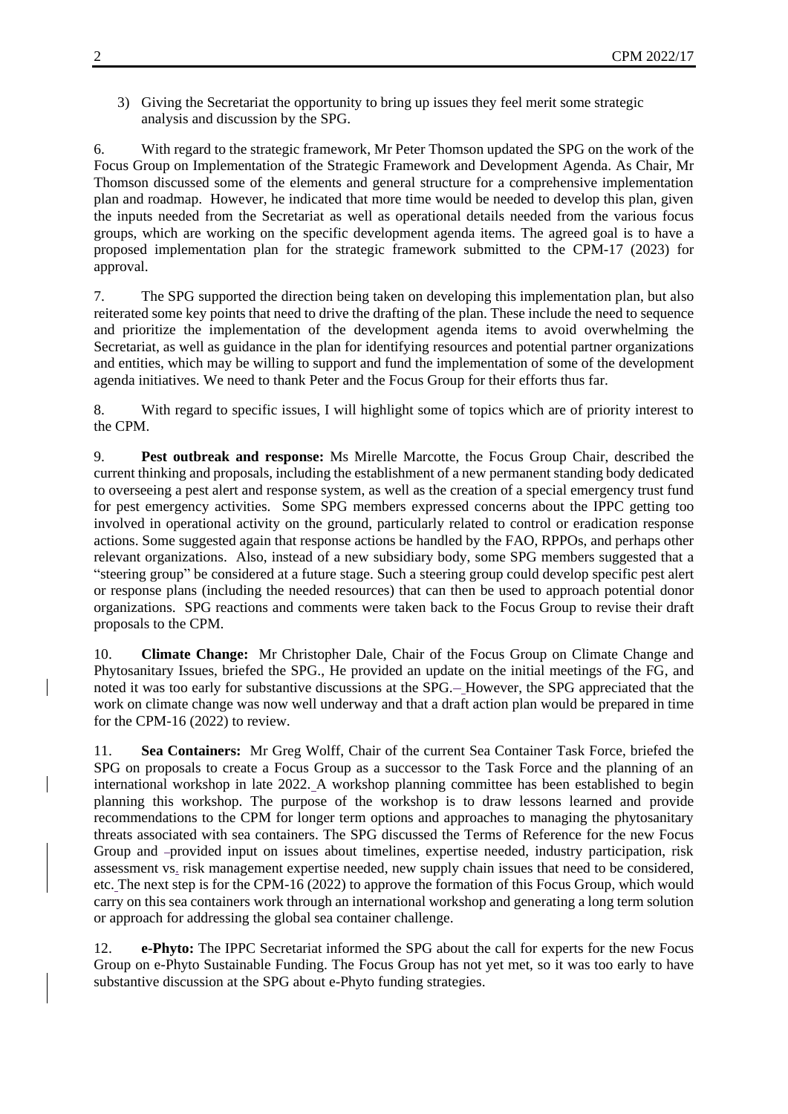3) Giving the Secretariat the opportunity to bring up issues they feel merit some strategic analysis and discussion by the SPG.

6. With regard to the strategic framework, Mr Peter Thomson updated the SPG on the work of the Focus Group on Implementation of the Strategic Framework and Development Agenda. As Chair, Mr Thomson discussed some of the elements and general structure for a comprehensive implementation plan and roadmap. However, he indicated that more time would be needed to develop this plan, given the inputs needed from the Secretariat as well as operational details needed from the various focus groups, which are working on the specific development agenda items. The agreed goal is to have a proposed implementation plan for the strategic framework submitted to the CPM-17 (2023) for approval.

7. The SPG supported the direction being taken on developing this implementation plan, but also reiterated some key points that need to drive the drafting of the plan. These include the need to sequence and prioritize the implementation of the development agenda items to avoid overwhelming the Secretariat, as well as guidance in the plan for identifying resources and potential partner organizations and entities, which may be willing to support and fund the implementation of some of the development agenda initiatives. We need to thank Peter and the Focus Group for their efforts thus far.

8. With regard to specific issues, I will highlight some of topics which are of priority interest to the CPM.

9. **Pest outbreak and response:** Ms Mirelle Marcotte, the Focus Group Chair, described the current thinking and proposals, including the establishment of a new permanent standing body dedicated to overseeing a pest alert and response system, as well as the creation of a special emergency trust fund for pest emergency activities. Some SPG members expressed concerns about the IPPC getting too involved in operational activity on the ground, particularly related to control or eradication response actions. Some suggested again that response actions be handled by the FAO, RPPOs, and perhaps other relevant organizations. Also, instead of a new subsidiary body, some SPG members suggested that a "steering group" be considered at a future stage. Such a steering group could develop specific pest alert or response plans (including the needed resources) that can then be used to approach potential donor organizations. SPG reactions and comments were taken back to the Focus Group to revise their draft proposals to the CPM.

10. **Climate Change:** Mr Christopher Dale, Chair of the Focus Group on Climate Change and Phytosanitary Issues, briefed the SPG., He provided an update on the initial meetings of the FG, and noted it was too early for substantive discussions at the SPG. However, the SPG appreciated that the work on climate change was now well underway and that a draft action plan would be prepared in time for the CPM-16 (2022) to review.

11. **Sea Containers:** Mr Greg Wolff, Chair of the current Sea Container Task Force, briefed the SPG on proposals to create a Focus Group as a successor to the Task Force and the planning of an international workshop in late 2022. A workshop planning committee has been established to begin planning this workshop. The purpose of the workshop is to draw lessons learned and provide recommendations to the CPM for longer term options and approaches to managing the phytosanitary threats associated with sea containers. The SPG discussed the Terms of Reference for the new Focus Group and -provided input on issues about timelines, expertise needed, industry participation, risk assessment vs. risk management expertise needed, new supply chain issues that need to be considered, etc. The next step is for the CPM-16 (2022) to approve the formation of this Focus Group, which would carry on this sea containers work through an international workshop and generating a long term solution or approach for addressing the global sea container challenge.

12. **e-Phyto:** The IPPC Secretariat informed the SPG about the call for experts for the new Focus Group on e-Phyto Sustainable Funding. The Focus Group has not yet met, so it was too early to have substantive discussion at the SPG about e-Phyto funding strategies.